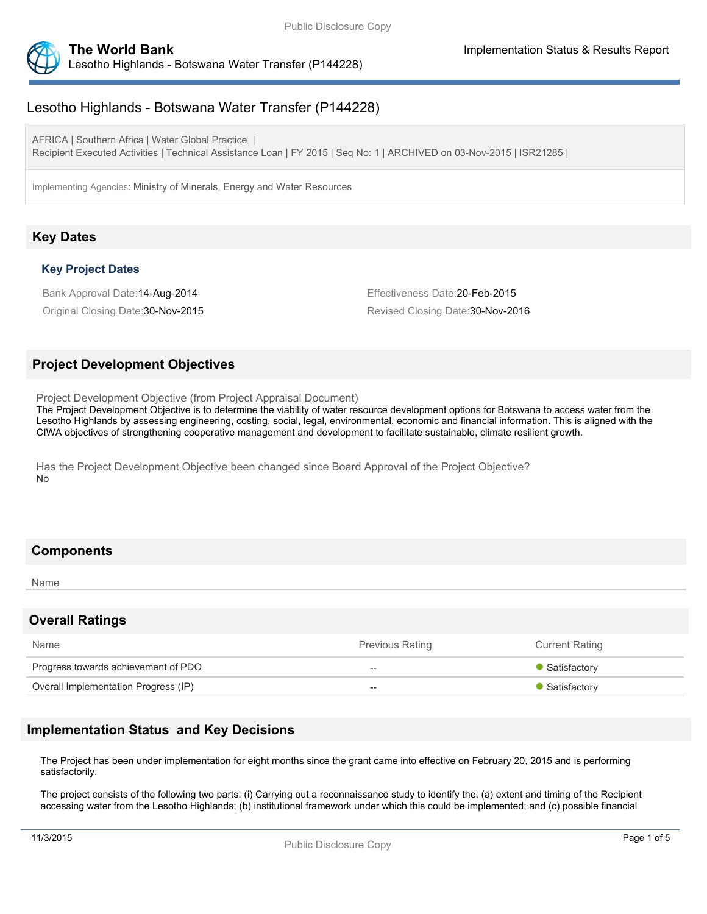

# Lesotho Highlands - Botswana Water Transfer (P144228)

AFRICA | Southern Africa | Water Global Practice | Recipient Executed Activities | Technical Assistance Loan | FY 2015 | Seq No: 1 | ARCHIVED on 03-Nov-2015 | ISR21285 |

Implementing Agencies: Ministry of Minerals, Energy and Water Resources

## **Key Dates**

#### **Key Project Dates**

Bank Approval Date:14-Aug-2014 Effectiveness Date:20-Feb-2015

Original Closing Date:30-Nov-2015 Revised Closing Date:30-Nov-2016

## **Project Development Objectives**

Project Development Objective (from Project Appraisal Document)

The Project Development Objective is to determine the viability of water resource development options for Botswana to access water from the Lesotho Highlands by assessing engineering, costing, social, legal, environmental, economic and financial information. This is aligned with the CIWA objectives of strengthening cooperative management and development to facilitate sustainable, climate resilient growth.

Has the Project Development Objective been changed since Board Approval of the Project Objective? No

## **Components**

Name

#### **Overall Ratings**

| Name                                 | <b>Previous Rating</b> | <b>Current Rating</b> |
|--------------------------------------|------------------------|-----------------------|
| Progress towards achievement of PDO  | --                     | • Satisfactory        |
| Overall Implementation Progress (IP) | --                     | • Satisfactory        |

## **Implementation Status and Key Decisions**

The Project has been under implementation for eight months since the grant came into effective on February 20, 2015 and is performing satisfactorily.

The project consists of the following two parts: (i) Carrying out a reconnaissance study to identify the: (a) extent and timing of the Recipient accessing water from the Lesotho Highlands; (b) institutional framework under which this could be implemented; and (c) possible financial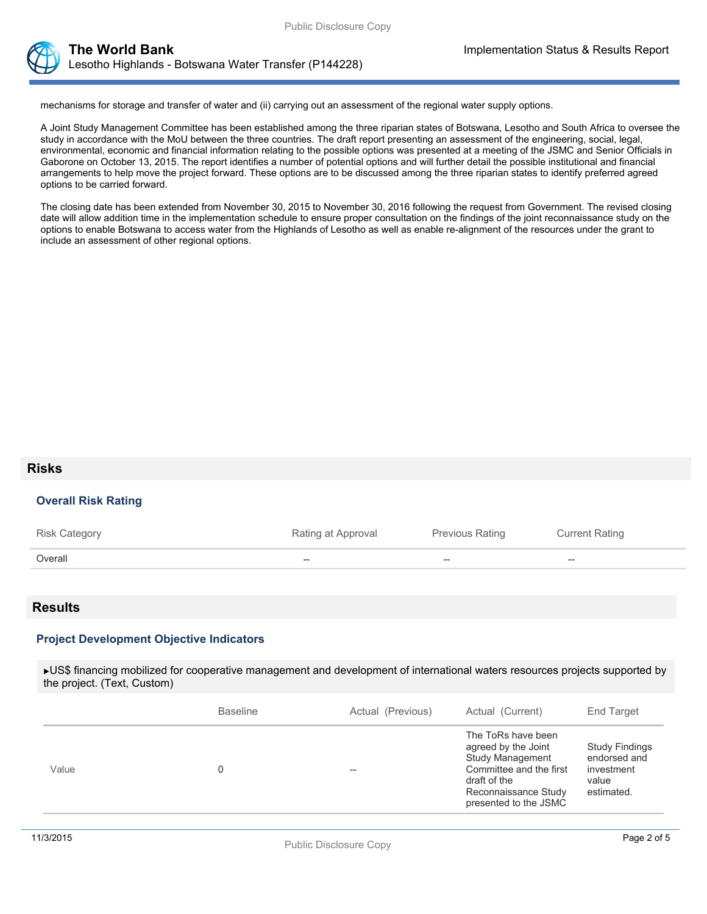



**The World Bank Implementation Status & Results Report** Lesotho Highlands - Botswana Water Transfer (P144228)

mechanisms for storage and transfer of water and (ii) carrying out an assessment of the regional water supply options.

A Joint Study Management Committee has been established among the three riparian states of Botswana, Lesotho and South Africa to oversee the study in accordance with the MoU between the three countries. The draft report presenting an assessment of the engineering, social, legal, environmental, economic and financial information relating to the possible options was presented at a meeting of the JSMC and Senior Officials in Gaborone on October 13, 2015. The report identifies a number of potential options and will further detail the possible institutional and financial arrangements to help move the project forward. These options are to be discussed among the three riparian states to identify preferred agreed options to be carried forward.

The closing date has been extended from November 30, 2015 to November 30, 2016 following the request from Government. The revised closing date will allow addition time in the implementation schedule to ensure proper consultation on the findings of the joint reconnaissance study on the options to enable Botswana to access water from the Highlands of Lesotho as well as enable re-alignment of the resources under the grant to include an assessment of other regional options.

#### **Risks**

#### **Overall Risk Rating**

| <b>Risk Category</b> | Rating at Approval | Previous Rating | <b>Current Rating</b> |
|----------------------|--------------------|-----------------|-----------------------|
| Overall              | $- -$              | $- -$           | $- -$                 |

#### **Results**

#### **Project Development Objective Indicators**

US\$ financing mobilized for cooperative management and development of international waters resources projects supported by the project. (Text, Custom)

| The ToRs have been<br>agreed by the Joint<br><b>Study Findings</b><br>endorsed and<br>Study Management<br>Committee and the first<br>Value<br>investment<br>$-$<br>draft of the<br>value<br>Reconnaissance Study<br>estimated.<br>presented to the JSMC | <b>Baseline</b> | Actual (Previous) | Actual (Current) | End Target |
|---------------------------------------------------------------------------------------------------------------------------------------------------------------------------------------------------------------------------------------------------------|-----------------|-------------------|------------------|------------|
|                                                                                                                                                                                                                                                         |                 |                   |                  |            |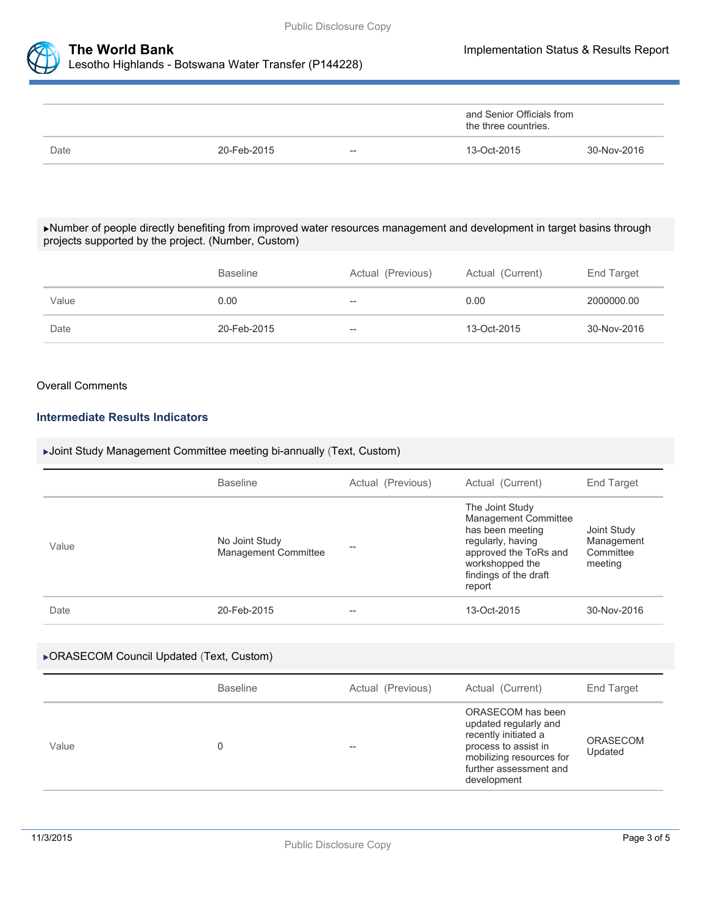



|      |             |                          | and Senior Officials from<br>the three countries. |             |
|------|-------------|--------------------------|---------------------------------------------------|-------------|
| Date | 20-Feb-2015 | $\overline{\phantom{m}}$ | 13-Oct-2015                                       | 30-Nov-2016 |

#### Number of people directly benefiting from improved water resources management and development in target basins through projects supported by the project. (Number, Custom)

|       | <b>Baseline</b> | Actual (Previous) | Actual (Current) | End Target  |
|-------|-----------------|-------------------|------------------|-------------|
| Value | 0.00            | $- -$             | 0.00             | 2000000.00  |
| Date  | 20-Feb-2015     | $- -$             | 13-Oct-2015      | 30-Nov-2016 |

#### Overall Comments

### **Intermediate Results Indicators**

### Joint Study Management Committee meeting bi-annually (Text, Custom)

|       | <b>Baseline</b>                               | Actual (Previous) | Actual (Current)                                                                                                                                                | End Target                                        |
|-------|-----------------------------------------------|-------------------|-----------------------------------------------------------------------------------------------------------------------------------------------------------------|---------------------------------------------------|
| Value | No Joint Study<br><b>Management Committee</b> | --                | The Joint Study<br>Management Committee<br>has been meeting<br>regularly, having<br>approved the ToRs and<br>workshopped the<br>findings of the draft<br>report | Joint Study<br>Management<br>Committee<br>meeting |
| Date  | 20-Feb-2015                                   | --                | 13-Oct-2015                                                                                                                                                     | 30-Nov-2016                                       |

#### ORASECOM Council Updated (Text, Custom)

|       | <b>Baseline</b> | Actual (Previous) | Actual (Current)                                                                                                                                                | End Target                 |
|-------|-----------------|-------------------|-----------------------------------------------------------------------------------------------------------------------------------------------------------------|----------------------------|
| Value |                 | --                | ORASECOM has been<br>updated regularly and<br>recently initiated a<br>process to assist in<br>mobilizing resources for<br>further assessment and<br>development | <b>ORASECOM</b><br>Updated |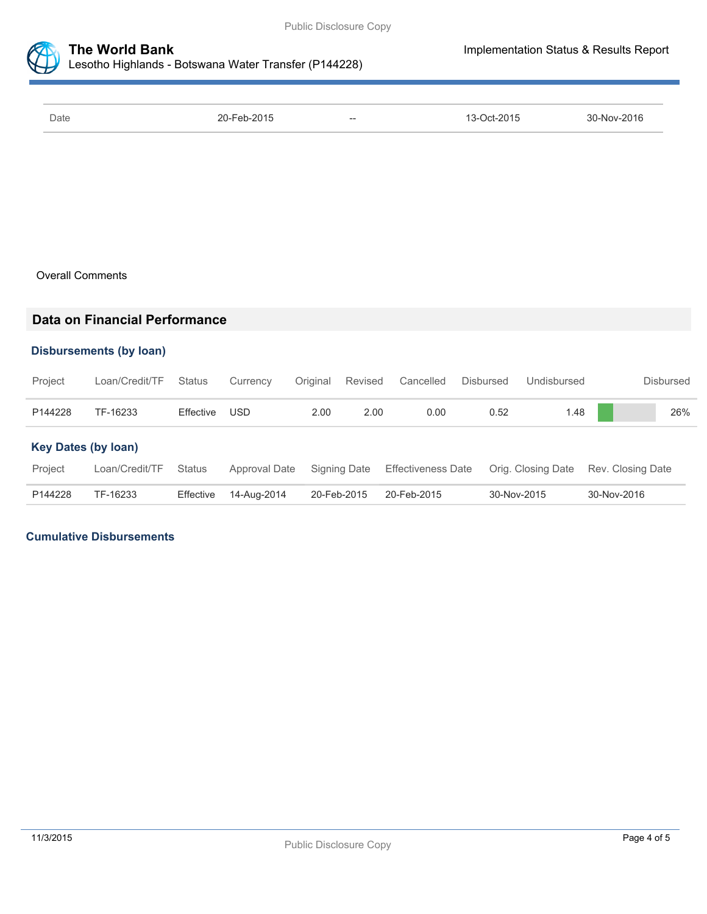

| Date | 20-Feb-2015 | $- -$ | 13-Oct-2015 | 30-Nov-2016 |
|------|-------------|-------|-------------|-------------|

### Overall Comments

## **Data on Financial Performance**

### **Disbursements (by loan)**

| Project                    | Loan/Credit/TF | <b>Status</b> | Currency      | Original    | Revised      | Cancelled                 | Disbursed   | Undisbursed        | <b>Disbursed</b>  |
|----------------------------|----------------|---------------|---------------|-------------|--------------|---------------------------|-------------|--------------------|-------------------|
| P144228                    | TF-16233       | Effective     | USD           | 2.00        | 2.00         | 0.00                      | 0.52        | 1.48               | 26%               |
| <b>Key Dates (by loan)</b> |                |               |               |             |              |                           |             |                    |                   |
| Project                    | Loan/Credit/TF | <b>Status</b> | Approval Date |             | Signing Date | <b>Effectiveness Date</b> |             | Orig. Closing Date | Rev. Closing Date |
| P144228                    | TF-16233       | Effective     | 14-Aug-2014   | 20-Feb-2015 |              | 20-Feb-2015               | 30-Nov-2015 |                    | 30-Nov-2016       |

### **Cumulative Disbursements**